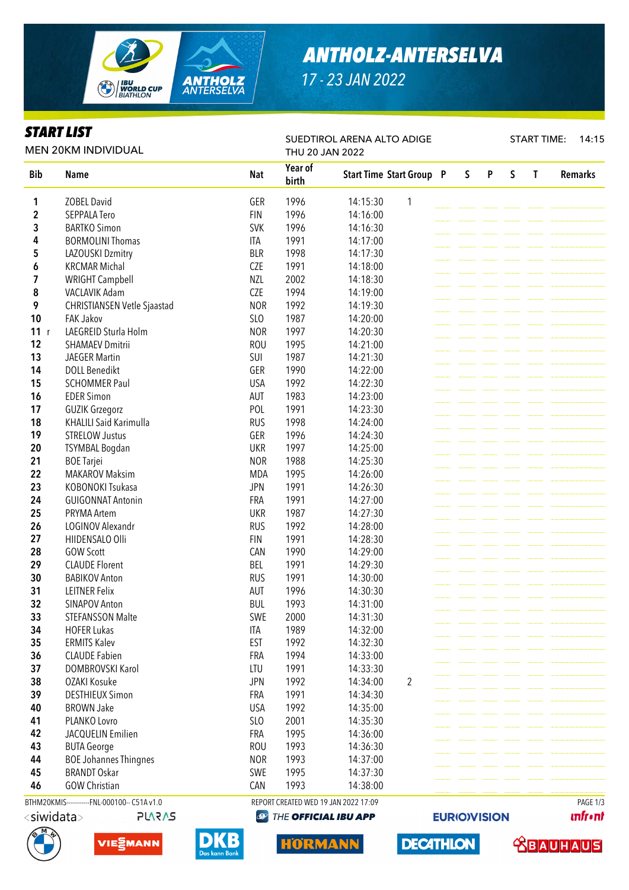

# *ANTHOLZ-ANTERSELVA*

*17 - 23 JAN 2022*

SUEDTIROL ARENA ALTO ADIGE

### *START LIST*

START TIME: 14:15

**unfront** 

 **<u>CBAUHAUS</u>** 

**EURIO)VISION** 

**DECATHLON** 

| <b>MEN 20KM INDIVIDUAL</b>                  |                               |            | THU 20 JAN 2022  |                                      |                |  |   |   |   |   |                |
|---------------------------------------------|-------------------------------|------------|------------------|--------------------------------------|----------------|--|---|---|---|---|----------------|
| <b>Bib</b>                                  | <b>Name</b>                   | <b>Nat</b> | Year of<br>birth | <b>Start Time Start Group P</b>      |                |  | S | P | S | T | <b>Remarks</b> |
| 1                                           | <b>ZOBEL David</b>            | GER        | 1996             | 14:15:30                             | 1              |  |   |   |   |   |                |
| 2                                           | <b>SEPPALA Tero</b>           | <b>FIN</b> | 1996             | 14:16:00                             |                |  |   |   |   |   |                |
| 3                                           | <b>BARTKO Simon</b>           | <b>SVK</b> | 1996             | 14:16:30                             |                |  |   |   |   |   |                |
| 4                                           | <b>BORMOLINI Thomas</b>       | <b>ITA</b> | 1991             | 14:17:00                             |                |  |   |   |   |   |                |
| 5                                           | LAZOUSKI Dzmitry              | <b>BLR</b> | 1998             | 14:17:30                             |                |  |   |   |   |   |                |
| 6                                           | <b>KRCMAR Michal</b>          | <b>CZE</b> | 1991             | 14:18:00                             |                |  |   |   |   |   |                |
| 7                                           | <b>WRIGHT Campbell</b>        | <b>NZL</b> | 2002             | 14:18:30                             |                |  |   |   |   |   |                |
| 8                                           | VACLAVIK Adam                 | <b>CZE</b> | 1994             | 14:19:00                             |                |  |   |   |   |   |                |
| 9                                           | CHRISTIANSEN Vetle Sjaastad   | <b>NOR</b> | 1992             | 14:19:30                             |                |  |   |   |   |   |                |
| 10                                          | <b>FAK Jakov</b>              | SLO        | 1987             | 14:20:00                             |                |  |   |   |   |   |                |
| 11<br>r                                     | LAEGREID Sturla Holm          | <b>NOR</b> | 1997             | 14:20:30                             |                |  |   |   |   |   |                |
| 12                                          | <b>SHAMAEV Dmitrii</b>        | <b>ROU</b> | 1995             | 14:21:00                             |                |  |   |   |   |   |                |
| 13                                          | <b>JAEGER Martin</b>          | SUI        | 1987             | 14:21:30                             |                |  |   |   |   |   |                |
| 14                                          | <b>DOLL Benedikt</b>          | GER        | 1990             | 14:22:00                             |                |  |   |   |   |   |                |
| 15                                          | <b>SCHOMMER Paul</b>          | <b>USA</b> | 1992             | 14:22:30                             |                |  |   |   |   |   |                |
| 16                                          | <b>EDER Simon</b>             | AUT        | 1983             | 14:23:00                             |                |  |   |   |   |   |                |
| 17                                          | <b>GUZIK Grzegorz</b>         | POL        | 1991             | 14:23:30                             |                |  |   |   |   |   |                |
| 18                                          | <b>KHALILI Said Karimulla</b> | <b>RUS</b> | 1998             | 14:24:00                             |                |  |   |   |   |   |                |
| 19                                          | <b>STRELOW Justus</b>         | GER        | 1996             | 14:24:30                             |                |  |   |   |   |   |                |
| 20                                          | <b>TSYMBAL Bogdan</b>         | <b>UKR</b> | 1997             | 14:25:00                             |                |  |   |   |   |   |                |
| 21                                          | <b>BOE Tarjei</b>             | <b>NOR</b> | 1988             | 14:25:30                             |                |  |   |   |   |   |                |
| 22                                          | <b>MAKAROV Maksim</b>         | <b>MDA</b> | 1995             | 14:26:00                             |                |  |   |   |   |   |                |
| 23                                          | KOBONOKI Tsukasa              | <b>JPN</b> | 1991             | 14:26:30                             |                |  |   |   |   |   |                |
| 24                                          | <b>GUIGONNAT Antonin</b>      | FRA        | 1991             | 14:27:00                             |                |  |   |   |   |   |                |
| 25                                          | PRYMA Artem                   | <b>UKR</b> | 1987             | 14:27:30                             |                |  |   |   |   |   |                |
| 26                                          | LOGINOV Alexandr              | <b>RUS</b> | 1992             | 14:28:00                             |                |  |   |   |   |   |                |
| 27                                          | HIIDENSALO Olli               | <b>FIN</b> | 1991             | 14:28:30                             |                |  |   |   |   |   |                |
| 28                                          | <b>GOW Scott</b>              | CAN        | 1990             | 14:29:00                             |                |  |   |   |   |   |                |
| 29                                          | <b>CLAUDE Florent</b>         | <b>BEL</b> | 1991             | 14:29:30                             |                |  |   |   |   |   |                |
| 30                                          | <b>BABIKOV Anton</b>          | <b>RUS</b> | 1991             | 14:30:00                             |                |  |   |   |   |   |                |
| 31                                          | <b>LEITNER Felix</b>          | <b>AUT</b> | 1996             | 14:30:30                             |                |  |   |   |   |   |                |
| 32                                          | <b>SINAPOV Anton</b>          | <b>BUL</b> | 1993             | 14:31:00                             |                |  |   |   |   |   |                |
| 33                                          | <b>STEFANSSON Malte</b>       | SWE        | 2000             | 14:31:30                             |                |  |   |   |   |   |                |
| 34                                          | <b>HOFER Lukas</b>            | <b>ITA</b> | 1989             | 14:32:00                             |                |  |   |   |   |   |                |
| 35                                          | <b>ERMITS Kalev</b>           | EST        | 1992             | 14:32:30                             |                |  |   |   |   |   |                |
| 36                                          | <b>CLAUDE Fabien</b>          | FRA        | 1994             | 14:33:00                             |                |  |   |   |   |   |                |
| 37                                          | DOMBROVSKI Karol              | LTU        | 1991             | 14:33:30                             |                |  |   |   |   |   |                |
| 38                                          | OZAKI Kosuke                  | <b>JPN</b> | 1992             | 14:34:00                             | $\overline{2}$ |  |   |   |   |   |                |
| 39                                          | <b>DESTHIEUX Simon</b>        | FRA        | 1991             | 14:34:30                             |                |  |   |   |   |   |                |
| 40                                          | <b>BROWN Jake</b>             | <b>USA</b> | 1992             | 14:35:00                             |                |  |   |   |   |   |                |
| 41                                          | PLANKO Lovro                  | SLO        | 2001             | 14:35:30                             |                |  |   |   |   |   |                |
| 42                                          | JACQUELIN Emilien             | FRA        | 1995             | 14:36:00                             |                |  |   |   |   |   |                |
| 43                                          | <b>BUTA George</b>            | <b>ROU</b> | 1993             | 14:36:30                             |                |  |   |   |   |   |                |
| 44                                          | <b>BOE Johannes Thingnes</b>  | <b>NOR</b> | 1993             | 14:37:00                             |                |  |   |   |   |   |                |
| 45                                          | <b>BRANDT Oskar</b>           | SWE        | 1995             | 14:37:30                             |                |  |   |   |   |   |                |
| 46                                          | <b>GOW Christian</b>          | CAN        | 1993             | 14:38:00                             |                |  |   |   |   |   |                |
| BTHM20KMIS-----------FNL-000100-- C51A v1.0 |                               |            |                  | REPORT CREATED WED 19 JAN 2022 17:09 |                |  |   |   |   |   | PAGE 1/3       |





DI



**HORMANN**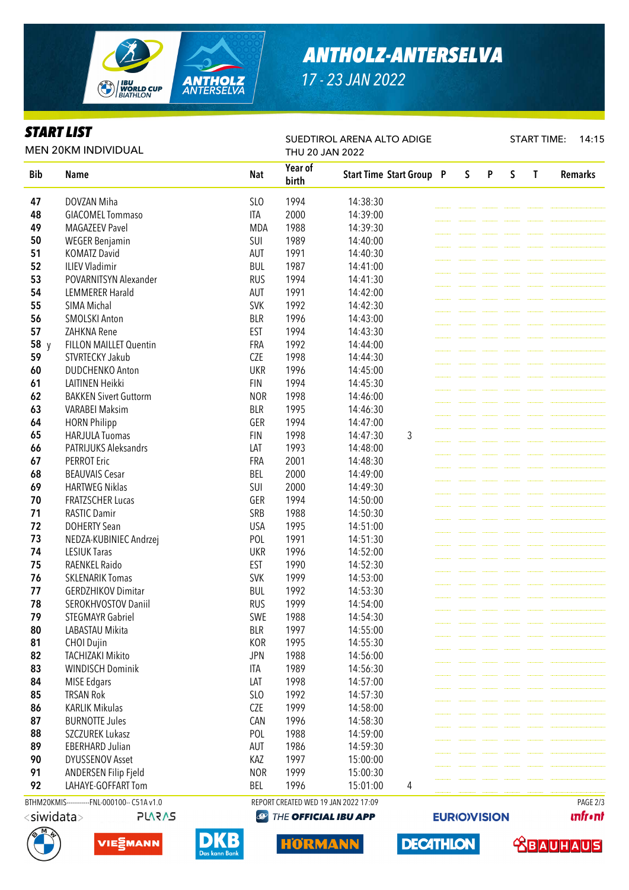

# *ANTHOLZ-ANTERSELVA*

*17 - 23 JAN 2022*

SUEDTIROL ARENA ALTO ADIGE

#### *START LIST*

START TIME: 14:15

| <b>MEN 20KM INDIVIDUAL</b> |                                              |            | THU 20 JAN 2022                      |                                 |  |   |   |   |          |                |
|----------------------------|----------------------------------------------|------------|--------------------------------------|---------------------------------|--|---|---|---|----------|----------------|
| <b>Bib</b>                 | <b>Name</b>                                  | <b>Nat</b> | Year of<br>birth                     | <b>Start Time Start Group P</b> |  | S | P | S | T        | <b>Remarks</b> |
| 47                         | DOVZAN Miha                                  | SLO        | 1994                                 | 14:38:30                        |  |   |   |   |          |                |
| 48                         | <b>GIACOMEL Tommaso</b>                      | <b>ITA</b> | 2000                                 | 14:39:00                        |  |   |   |   |          |                |
| 49                         | <b>MAGAZEEV Pavel</b>                        | <b>MDA</b> | 1988                                 | 14:39:30                        |  |   |   |   |          |                |
| 50                         | <b>WEGER Benjamin</b>                        | SUI        | 1989                                 | 14:40:00                        |  |   |   |   |          |                |
| 51                         | <b>KOMATZ David</b>                          | AUT        | 1991                                 | 14:40:30                        |  |   |   |   |          |                |
| 52                         | <b>ILIEV Vladimir</b>                        | <b>BUL</b> | 1987                                 | 14:41:00                        |  |   |   |   |          |                |
| 53                         | POVARNITSYN Alexander                        | <b>RUS</b> | 1994                                 | 14:41:30                        |  |   |   |   |          |                |
| 54                         | <b>LEMMERER Harald</b>                       | <b>AUT</b> | 1991                                 | 14:42:00                        |  |   |   |   |          |                |
| 55                         | SIMA Michal                                  | <b>SVK</b> | 1992                                 | 14:42:30                        |  |   |   |   |          |                |
| 56                         | <b>SMOLSKI Anton</b>                         | <b>BLR</b> | 1996                                 | 14:43:00                        |  |   |   |   |          |                |
| 57                         | ZAHKNA Rene                                  | <b>EST</b> | 1994                                 | 14:43:30                        |  |   |   |   |          |                |
| 58 y                       | <b>FILLON MAILLET Quentin</b>                | FRA        | 1992                                 | 14:44:00                        |  |   |   |   |          |                |
| 59                         | STVRTECKY Jakub                              | <b>CZE</b> | 1998                                 | 14:44:30                        |  |   |   |   |          |                |
| 60                         | <b>DUDCHENKO Anton</b>                       | <b>UKR</b> | 1996                                 | 14:45:00                        |  |   |   |   |          |                |
| 61                         | <b>LAITINEN Heikki</b>                       | <b>FIN</b> | 1994                                 | 14:45:30                        |  |   |   |   |          |                |
| 62                         | <b>BAKKEN Sivert Guttorm</b>                 | <b>NOR</b> | 1998                                 | 14:46:00                        |  |   |   |   |          |                |
| 63                         | <b>VARABEI Maksim</b>                        | <b>BLR</b> | 1995                                 | 14:46:30                        |  |   |   |   |          |                |
| 64                         | <b>HORN Philipp</b>                          | GER        | 1994                                 | 14:47:00                        |  |   |   |   |          |                |
| 65                         | <b>HARJULA Tuomas</b>                        | <b>FIN</b> | 1998                                 | 14:47:30<br>3                   |  |   |   |   |          |                |
| 66                         | <b>PATRIJUKS Aleksandrs</b>                  | LAT        | 1993                                 | 14:48:00                        |  |   |   |   |          |                |
| 67                         | <b>PERROT Eric</b>                           | FRA        | 2001                                 | 14:48:30                        |  |   |   |   |          |                |
| 68                         | <b>BEAUVAIS Cesar</b>                        | <b>BEL</b> | 2000                                 | 14:49:00                        |  |   |   |   |          |                |
| 69                         | <b>HARTWEG Niklas</b>                        | SUI        | 2000                                 | 14:49:30                        |  |   |   |   |          |                |
| 70                         | <b>FRATZSCHER Lucas</b>                      | GER        | 1994                                 | 14:50:00                        |  |   |   |   |          |                |
| 71                         | <b>RASTIC Damir</b>                          | SRB        | 1988                                 | 14:50:30                        |  |   |   |   |          |                |
| 72                         | <b>DOHERTY Sean</b>                          | <b>USA</b> |                                      | 14:51:00                        |  |   |   |   |          |                |
| 73                         |                                              | POL        | 1995                                 |                                 |  |   |   |   |          |                |
|                            | NEDZA-KUBINIEC Andrzej                       |            | 1991                                 | 14:51:30                        |  |   |   |   |          |                |
| 74                         | <b>LESIUK Taras</b>                          | <b>UKR</b> | 1996                                 | 14:52:00                        |  |   |   |   |          |                |
| 75                         | RAENKEL Raido                                | <b>EST</b> | 1990                                 | 14:52:30                        |  |   |   |   |          |                |
| 76                         | <b>SKLENARIK Tomas</b>                       | <b>SVK</b> | 1999                                 | 14:53:00                        |  |   |   |   |          |                |
| 77                         | <b>GERDZHIKOV Dimitar</b>                    | <b>BUL</b> | 1992                                 | 14:53:30                        |  |   |   |   |          |                |
| 78                         | SEROKHVOSTOV Daniil                          | <b>RUS</b> | 1999                                 | 14:54:00                        |  |   |   |   |          |                |
| 79                         | <b>STEGMAYR Gabriel</b>                      | SWE        | 1988                                 | 14:54:30                        |  |   |   |   |          |                |
| 80                         | LABASTAU Mikita                              | <b>BLR</b> | 1997                                 | 14:55:00                        |  |   |   |   |          |                |
| 81                         | CHOI Dujin                                   | KOR        | 1995                                 | 14:55:30                        |  |   |   |   |          |                |
| 82                         | <b>TACHIZAKI Mikito</b>                      | <b>JPN</b> | 1988                                 | 14:56:00                        |  |   |   |   |          |                |
| 83                         | <b>WINDISCH Dominik</b>                      | <b>ITA</b> | 1989                                 | 14:56:30                        |  |   |   |   |          |                |
| 84                         | <b>MISE Edgars</b>                           | LAT        | 1998                                 | 14:57:00                        |  |   |   |   |          |                |
| 85                         | <b>TRSAN Rok</b>                             | SLO        | 1992                                 | 14:57:30                        |  |   |   |   |          |                |
| 86                         | <b>KARLIK Mikulas</b>                        | CZE        | 1999                                 | 14:58:00                        |  |   |   |   |          |                |
| 87                         | <b>BURNOTTE Jules</b>                        | CAN        | 1996                                 | 14:58:30                        |  |   |   |   |          |                |
| 88                         | SZCZUREK Lukasz                              | POL        | 1988                                 | 14:59:00                        |  |   |   |   |          |                |
| 89                         | <b>EBERHARD Julian</b>                       | AUT        | 1986                                 | 14:59:30                        |  |   |   |   |          |                |
| 90                         | <b>DYUSSENOV Asset</b>                       | KAZ        | 1997                                 | 15:00:00                        |  |   |   |   |          |                |
| 91                         | ANDERSEN Filip Fjeld                         | <b>NOR</b> | 1999                                 | 15:00:30                        |  |   |   |   |          |                |
| 92                         | LAHAYE-GOFFART Tom                           | BEL        | 1996                                 | 15:01:00<br>4                   |  |   |   |   |          |                |
|                            | BTHM20KMIS------------FNL-000100-- C51A v1.0 |            | REPORT CREATED WED 19 JAN 2022 17:09 |                                 |  |   |   |   | PAGE 2/3 |                |







DI

**HORMANN** 

**unfront** 

 **<u>CBAUHAUS</u>** 

**EURIO)VISION** 

**DECATHLON**